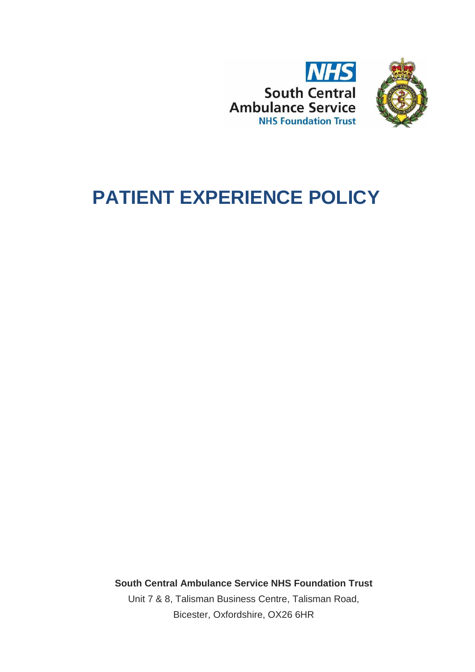



# **PATIENT EXPERIENCE POLICY**

**South Central Ambulance Service NHS Foundation Trust** Unit 7 & 8, Talisman Business Centre, Talisman Road, Bicester, Oxfordshire, OX26 6HR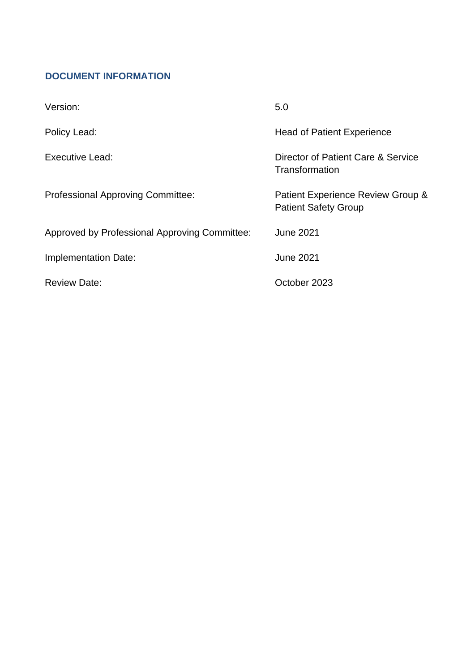# <span id="page-1-0"></span>**DOCUMENT INFORMATION**

| Version:                                      | 5.0                                                              |
|-----------------------------------------------|------------------------------------------------------------------|
| Policy Lead:                                  | <b>Head of Patient Experience</b>                                |
| Executive Lead:                               | Director of Patient Care & Service<br>Transformation             |
| Professional Approving Committee:             | Patient Experience Review Group &<br><b>Patient Safety Group</b> |
| Approved by Professional Approving Committee: | <b>June 2021</b>                                                 |
| Implementation Date:                          | <b>June 2021</b>                                                 |
| <b>Review Date:</b>                           | October 2023                                                     |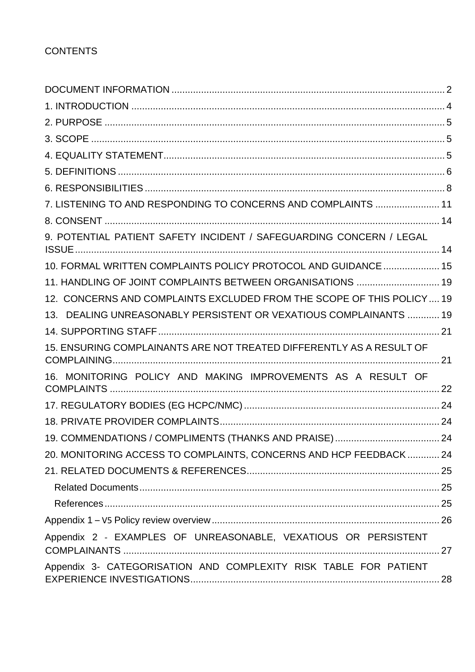| 7. LISTENING TO AND RESPONDING TO CONCERNS AND COMPLAINTS  11         |  |
|-----------------------------------------------------------------------|--|
|                                                                       |  |
| 9. POTENTIAL PATIENT SAFETY INCIDENT / SAFEGUARDING CONCERN / LEGAL   |  |
| 10. FORMAL WRITTEN COMPLAINTS POLICY PROTOCOL AND GUIDANCE  15        |  |
| 11. HANDLING OF JOINT COMPLAINTS BETWEEN ORGANISATIONS  19            |  |
| 12. CONCERNS AND COMPLAINTS EXCLUDED FROM THE SCOPE OF THIS POLICY 19 |  |
| 13. DEALING UNREASONABLY PERSISTENT OR VEXATIOUS COMPLAINANTS  19     |  |
|                                                                       |  |
| 15. ENSURING COMPLAINANTS ARE NOT TREATED DIFFERENTLY AS A RESULT OF  |  |
| 16. MONITORING POLICY AND MAKING IMPROVEMENTS AS A RESULT OF          |  |
|                                                                       |  |
|                                                                       |  |
|                                                                       |  |
| 20. MONITORING ACCESS TO COMPLAINTS, CONCERNS AND HCP FEEDBACK  24    |  |
|                                                                       |  |
|                                                                       |  |
|                                                                       |  |
|                                                                       |  |
| Appendix 2 - EXAMPLES OF UNREASONABLE, VEXATIOUS OR PERSISTENT        |  |
| Appendix 3- CATEGORISATION AND COMPLEXITY RISK TABLE FOR PATIENT      |  |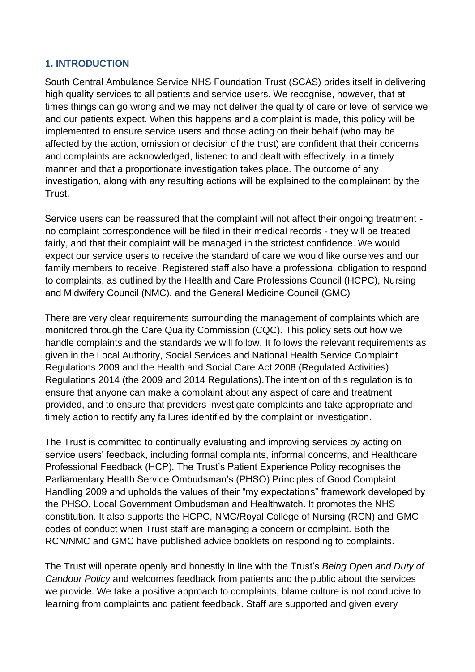#### <span id="page-3-0"></span>**1. INTRODUCTION**

South Central Ambulance Service NHS Foundation Trust (SCAS) prides itself in delivering high quality services to all patients and service users. We recognise, however, that at times things can go wrong and we may not deliver the quality of care or level of service we and our patients expect. When this happens and a complaint is made, this policy will be implemented to ensure service users and those acting on their behalf (who may be affected by the action, omission or decision of the trust) are confident that their concerns and complaints are acknowledged, listened to and dealt with effectively, in a timely manner and that a proportionate investigation takes place. The outcome of any investigation, along with any resulting actions will be explained to the complainant by the Trust.

Service users can be reassured that the complaint will not affect their ongoing treatment no complaint correspondence will be filed in their medical records - they will be treated fairly, and that their complaint will be managed in the strictest confidence. We would expect our service users to receive the standard of care we would like ourselves and our family members to receive. Registered staff also have a professional obligation to respond to complaints, as outlined by the Health and Care Professions Council (HCPC), Nursing and Midwifery Council (NMC), and the General Medicine Council (GMC)

There are very clear requirements surrounding the management of complaints which are monitored through the Care Quality Commission (CQC). This policy sets out how we handle complaints and the standards we will follow. It follows the relevant requirements as given in the Local Authority, Social Services and National Health Service Complaint Regulations 2009 and the Health and Social Care Act 2008 (Regulated Activities) Regulations 2014 (the 2009 and 2014 Regulations).The intention of this regulation is to ensure that anyone can make a complaint about any aspect of care and treatment provided, and to ensure that providers investigate complaints and take appropriate and timely action to rectify any failures identified by the complaint or investigation.

The Trust is committed to continually evaluating and improving services by acting on service users' feedback, including formal complaints, informal concerns, and Healthcare Professional Feedback (HCP). The Trust's Patient Experience Policy recognises the Parliamentary Health Service Ombudsman's (PHSO) Principles of Good Complaint Handling 2009 and upholds the values of their "my expectations" framework developed by the PHSO, Local Government Ombudsman and Healthwatch. It promotes the NHS constitution. It also supports the HCPC, NMC/Royal College of Nursing (RCN) and GMC codes of conduct when Trust staff are managing a concern or complaint. Both the RCN/NMC and GMC have published advice booklets on responding to complaints.

The Trust will operate openly and honestly in line with the Trust's *Being Open and Duty of Candour Policy* and welcomes feedback from patients and the public about the services we provide. We take a positive approach to complaints, blame culture is not conducive to learning from complaints and patient feedback. Staff are supported and given every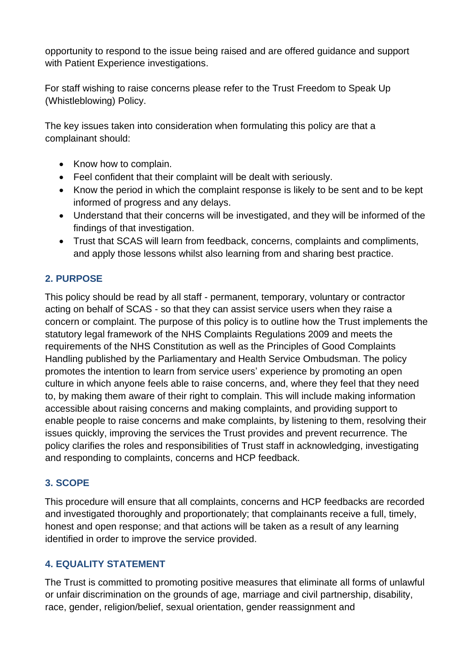opportunity to respond to the issue being raised and are offered guidance and support with Patient Experience investigations.

For staff wishing to raise concerns please refer to the Trust Freedom to Speak Up (Whistleblowing) Policy.

The key issues taken into consideration when formulating this policy are that a complainant should:

- Know how to complain.
- Feel confident that their complaint will be dealt with seriously.
- Know the period in which the complaint response is likely to be sent and to be kept informed of progress and any delays.
- Understand that their concerns will be investigated, and they will be informed of the findings of that investigation.
- Trust that SCAS will learn from feedback, concerns, complaints and compliments, and apply those lessons whilst also learning from and sharing best practice.

#### <span id="page-4-0"></span>**2. PURPOSE**

This policy should be read by all staff - permanent, temporary, voluntary or contractor acting on behalf of SCAS - so that they can assist service users when they raise a concern or complaint. The purpose of this policy is to outline how the Trust implements the statutory legal framework of the NHS Complaints Regulations 2009 and meets the requirements of the NHS Constitution as well as the Principles of Good Complaints Handling published by the Parliamentary and Health Service Ombudsman. The policy promotes the intention to learn from service users' experience by promoting an open culture in which anyone feels able to raise concerns, and, where they feel that they need to, by making them aware of their right to complain. This will include making information accessible about raising concerns and making complaints, and providing support to enable people to raise concerns and make complaints, by listening to them, resolving their issues quickly, improving the services the Trust provides and prevent recurrence. The policy clarifies the roles and responsibilities of Trust staff in acknowledging, investigating and responding to complaints, concerns and HCP feedback.

#### <span id="page-4-1"></span>**3. SCOPE**

This procedure will ensure that all complaints, concerns and HCP feedbacks are recorded and investigated thoroughly and proportionately; that complainants receive a full, timely, honest and open response; and that actions will be taken as a result of any learning identified in order to improve the service provided.

## <span id="page-4-2"></span>**4. EQUALITY STATEMENT**

The Trust is committed to promoting positive measures that eliminate all forms of unlawful or unfair discrimination on the grounds of age, marriage and civil partnership, disability, race, gender, religion/belief, sexual orientation, gender reassignment and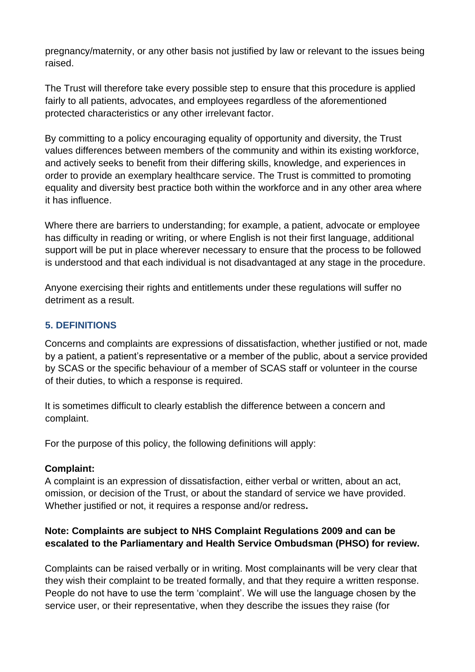pregnancy/maternity, or any other basis not justified by law or relevant to the issues being raised.

The Trust will therefore take every possible step to ensure that this procedure is applied fairly to all patients, advocates, and employees regardless of the aforementioned protected characteristics or any other irrelevant factor.

By committing to a policy encouraging equality of opportunity and diversity, the Trust values differences between members of the community and within its existing workforce, and actively seeks to benefit from their differing skills, knowledge, and experiences in order to provide an exemplary healthcare service. The Trust is committed to promoting equality and diversity best practice both within the workforce and in any other area where it has influence.

Where there are barriers to understanding; for example, a patient, advocate or employee has difficulty in reading or writing, or where English is not their first language, additional support will be put in place wherever necessary to ensure that the process to be followed is understood and that each individual is not disadvantaged at any stage in the procedure.

Anyone exercising their rights and entitlements under these regulations will suffer no detriment as a result.

## <span id="page-5-0"></span>**5. DEFINITIONS**

Concerns and complaints are expressions of dissatisfaction, whether justified or not, made by a patient, a patient's representative or a member of the public, about a service provided by SCAS or the specific behaviour of a member of SCAS staff or volunteer in the course of their duties, to which a response is required.

It is sometimes difficult to clearly establish the difference between a concern and complaint.

For the purpose of this policy, the following definitions will apply:

#### **Complaint:**

A complaint is an expression of dissatisfaction, either verbal or written, about an act, omission, or decision of the Trust, or about the standard of service we have provided. Whether justified or not, it requires a response and/or redress**.** 

#### **Note: Complaints are subject to NHS Complaint Regulations 2009 and can be escalated to the Parliamentary and Health Service Ombudsman (PHSO) for review.**

Complaints can be raised verbally or in writing. Most complainants will be very clear that they wish their complaint to be treated formally, and that they require a written response. People do not have to use the term 'complaint'. We will use the language chosen by the service user, or their representative, when they describe the issues they raise (for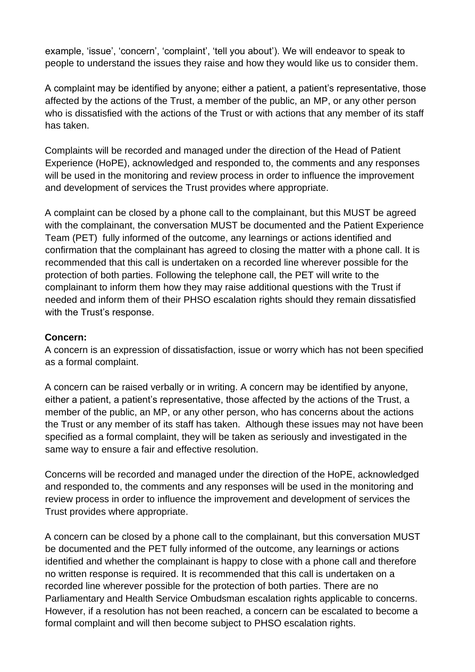example, 'issue', 'concern', 'complaint', 'tell you about'). We will endeavor to speak to people to understand the issues they raise and how they would like us to consider them.

A complaint may be identified by anyone; either a patient, a patient's representative, those affected by the actions of the Trust, a member of the public, an MP, or any other person who is dissatisfied with the actions of the Trust or with actions that any member of its staff has taken.

Complaints will be recorded and managed under the direction of the Head of Patient Experience (HoPE), acknowledged and responded to, the comments and any responses will be used in the monitoring and review process in order to influence the improvement and development of services the Trust provides where appropriate.

A complaint can be closed by a phone call to the complainant, but this MUST be agreed with the complainant, the conversation MUST be documented and the Patient Experience Team (PET) fully informed of the outcome, any learnings or actions identified and confirmation that the complainant has agreed to closing the matter with a phone call. It is recommended that this call is undertaken on a recorded line wherever possible for the protection of both parties. Following the telephone call, the PET will write to the complainant to inform them how they may raise additional questions with the Trust if needed and inform them of their PHSO escalation rights should they remain dissatisfied with the Trust's response.

#### **Concern:**

A concern is an expression of dissatisfaction, issue or worry which has not been specified as a formal complaint.

A concern can be raised verbally or in writing. A concern may be identified by anyone, either a patient, a patient's representative, those affected by the actions of the Trust, a member of the public, an MP, or any other person, who has concerns about the actions the Trust or any member of its staff has taken. Although these issues may not have been specified as a formal complaint, they will be taken as seriously and investigated in the same way to ensure a fair and effective resolution.

Concerns will be recorded and managed under the direction of the HoPE, acknowledged and responded to, the comments and any responses will be used in the monitoring and review process in order to influence the improvement and development of services the Trust provides where appropriate.

A concern can be closed by a phone call to the complainant, but this conversation MUST be documented and the PET fully informed of the outcome, any learnings or actions identified and whether the complainant is happy to close with a phone call and therefore no written response is required. It is recommended that this call is undertaken on a recorded line wherever possible for the protection of both parties. There are no Parliamentary and Health Service Ombudsman escalation rights applicable to concerns. However, if a resolution has not been reached, a concern can be escalated to become a formal complaint and will then become subject to PHSO escalation rights.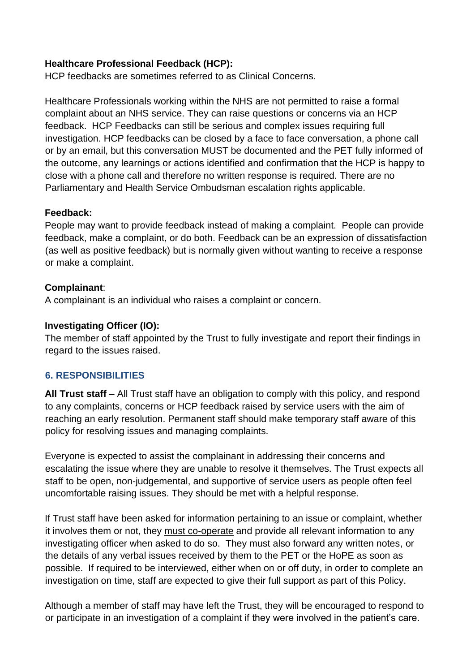#### **Healthcare Professional Feedback (HCP):**

HCP feedbacks are sometimes referred to as Clinical Concerns.

Healthcare Professionals working within the NHS are not permitted to raise a formal complaint about an NHS service. They can raise questions or concerns via an HCP feedback. HCP Feedbacks can still be serious and complex issues requiring full investigation. HCP feedbacks can be closed by a face to face conversation, a phone call or by an email, but this conversation MUST be documented and the PET fully informed of the outcome, any learnings or actions identified and confirmation that the HCP is happy to close with a phone call and therefore no written response is required. There are no Parliamentary and Health Service Ombudsman escalation rights applicable.

#### **Feedback:**

People may want to provide feedback instead of making a complaint. People can provide feedback, make a complaint, or do both. Feedback can be an expression of dissatisfaction (as well as positive feedback) but is normally given without wanting to receive a response or make a complaint.

#### **Complainant**:

A complainant is an individual who raises a complaint or concern.

#### **Investigating Officer (IO):**

The member of staff appointed by the Trust to fully investigate and report their findings in regard to the issues raised.

#### <span id="page-7-0"></span>**6. RESPONSIBILITIES**

**All Trust staff** – All Trust staff have an obligation to comply with this policy, and respond to any complaints, concerns or HCP feedback raised by service users with the aim of reaching an early resolution. Permanent staff should make temporary staff aware of this policy for resolving issues and managing complaints.

Everyone is expected to assist the complainant in addressing their concerns and escalating the issue where they are unable to resolve it themselves. The Trust expects all staff to be open, non-judgemental, and supportive of service users as people often feel uncomfortable raising issues. They should be met with a helpful response.

If Trust staff have been asked for information pertaining to an issue or complaint, whether it involves them or not, they must co-operate and provide all relevant information to any investigating officer when asked to do so. They must also forward any written notes, or the details of any verbal issues received by them to the PET or the HoPE as soon as possible. If required to be interviewed, either when on or off duty, in order to complete an investigation on time, staff are expected to give their full support as part of this Policy.

Although a member of staff may have left the Trust, they will be encouraged to respond to or participate in an investigation of a complaint if they were involved in the patient's care.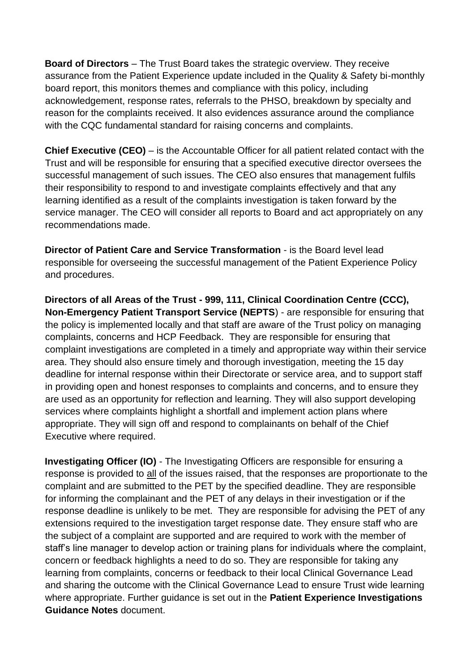**Board of Directors** – The Trust Board takes the strategic overview. They receive assurance from the Patient Experience update included in the Quality & Safety bi-monthly board report, this monitors themes and compliance with this policy, including acknowledgement, response rates, referrals to the PHSO, breakdown by specialty and reason for the complaints received. It also evidences assurance around the compliance with the CQC fundamental standard for raising concerns and complaints.

**Chief Executive (CEO)** – is the Accountable Officer for all patient related contact with the Trust and will be responsible for ensuring that a specified executive director oversees the successful management of such issues. The CEO also ensures that management fulfils their responsibility to respond to and investigate complaints effectively and that any learning identified as a result of the complaints investigation is taken forward by the service manager. The CEO will consider all reports to Board and act appropriately on any recommendations made.

**Director of Patient Care and Service Transformation** - is the Board level lead responsible for overseeing the successful management of the Patient Experience Policy and procedures.

**Directors of all Areas of the Trust - 999, 111, Clinical Coordination Centre (CCC), Non-Emergency Patient Transport Service (NEPTS**) - are responsible for ensuring that the policy is implemented locally and that staff are aware of the Trust policy on managing complaints, concerns and HCP Feedback. They are responsible for ensuring that complaint investigations are completed in a timely and appropriate way within their service area. They should also ensure timely and thorough investigation, meeting the 15 day deadline for internal response within their Directorate or service area, and to support staff in providing open and honest responses to complaints and concerns, and to ensure they are used as an opportunity for reflection and learning. They will also support developing services where complaints highlight a shortfall and implement action plans where appropriate. They will sign off and respond to complainants on behalf of the Chief Executive where required.

**Investigating Officer (IO)** - The Investigating Officers are responsible for ensuring a response is provided to all of the issues raised, that the responses are proportionate to the complaint and are submitted to the PET by the specified deadline. They are responsible for informing the complainant and the PET of any delays in their investigation or if the response deadline is unlikely to be met. They are responsible for advising the PET of any extensions required to the investigation target response date. They ensure staff who are the subject of a complaint are supported and are required to work with the member of staff's line manager to develop action or training plans for individuals where the complaint, concern or feedback highlights a need to do so. They are responsible for taking any learning from complaints, concerns or feedback to their local Clinical Governance Lead and sharing the outcome with the Clinical Governance Lead to ensure Trust wide learning where appropriate. Further guidance is set out in the **Patient Experience Investigations Guidance Notes** document.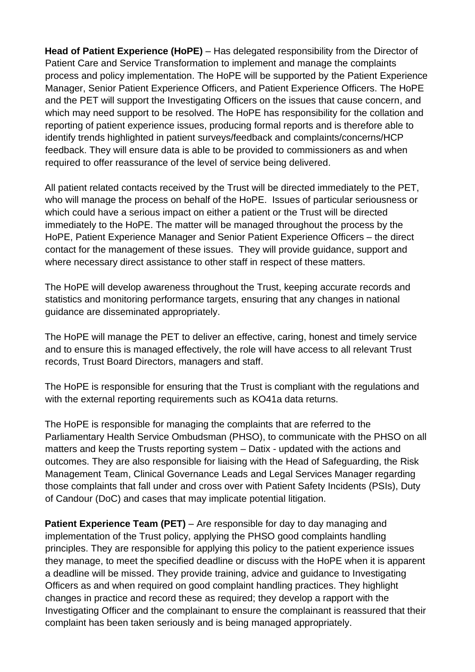**Head of Patient Experience (HoPE)** – Has delegated responsibility from the Director of Patient Care and Service Transformation to implement and manage the complaints process and policy implementation. The HoPE will be supported by the Patient Experience Manager, Senior Patient Experience Officers, and Patient Experience Officers. The HoPE and the PET will support the Investigating Officers on the issues that cause concern, and which may need support to be resolved. The HoPE has responsibility for the collation and reporting of patient experience issues, producing formal reports and is therefore able to identify trends highlighted in patient surveys/feedback and complaints/concerns/HCP feedback. They will ensure data is able to be provided to commissioners as and when required to offer reassurance of the level of service being delivered.

All patient related contacts received by the Trust will be directed immediately to the PET, who will manage the process on behalf of the HoPE. Issues of particular seriousness or which could have a serious impact on either a patient or the Trust will be directed immediately to the HoPE. The matter will be managed throughout the process by the HoPE, Patient Experience Manager and Senior Patient Experience Officers – the direct contact for the management of these issues. They will provide guidance, support and where necessary direct assistance to other staff in respect of these matters.

The HoPE will develop awareness throughout the Trust, keeping accurate records and statistics and monitoring performance targets, ensuring that any changes in national guidance are disseminated appropriately.

The HoPE will manage the PET to deliver an effective, caring, honest and timely service and to ensure this is managed effectively, the role will have access to all relevant Trust records, Trust Board Directors, managers and staff.

The HoPE is responsible for ensuring that the Trust is compliant with the regulations and with the external reporting requirements such as KO41a data returns.

The HoPE is responsible for managing the complaints that are referred to the Parliamentary Health Service Ombudsman (PHSO), to communicate with the PHSO on all matters and keep the Trusts reporting system – Datix - updated with the actions and outcomes. They are also responsible for liaising with the Head of Safeguarding, the Risk Management Team, Clinical Governance Leads and Legal Services Manager regarding those complaints that fall under and cross over with Patient Safety Incidents (PSIs), Duty of Candour (DoC) and cases that may implicate potential litigation.

**Patient Experience Team (PET)** – Are responsible for day to day managing and implementation of the Trust policy, applying the PHSO good complaints handling principles. They are responsible for applying this policy to the patient experience issues they manage, to meet the specified deadline or discuss with the HoPE when it is apparent a deadline will be missed. They provide training, advice and guidance to Investigating Officers as and when required on good complaint handling practices. They highlight changes in practice and record these as required; they develop a rapport with the Investigating Officer and the complainant to ensure the complainant is reassured that their complaint has been taken seriously and is being managed appropriately.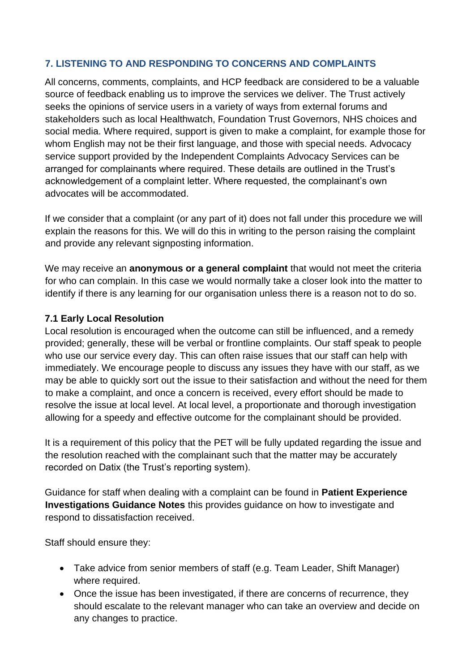#### <span id="page-10-0"></span>**7. LISTENING TO AND RESPONDING TO CONCERNS AND COMPLAINTS**

All concerns, comments, complaints, and HCP feedback are considered to be a valuable source of feedback enabling us to improve the services we deliver. The Trust actively seeks the opinions of service users in a variety of ways from external forums and stakeholders such as local Healthwatch, Foundation Trust Governors, NHS choices and social media. Where required, support is given to make a complaint, for example those for whom English may not be their first language, and those with special needs. Advocacy service support provided by the Independent Complaints Advocacy Services can be arranged for complainants where required. These details are outlined in the Trust's acknowledgement of a complaint letter. Where requested, the complainant's own advocates will be accommodated.

If we consider that a complaint (or any part of it) does not fall under this procedure we will explain the reasons for this. We will do this in writing to the person raising the complaint and provide any relevant signposting information.

We may receive an **anonymous or a general complaint** that would not meet the criteria for who can complain. In this case we would normally take a closer look into the matter to identify if there is any learning for our organisation unless there is a reason not to do so.

#### **7.1 Early Local Resolution**

Local resolution is encouraged when the outcome can still be influenced, and a remedy provided; generally, these will be verbal or frontline complaints. Our staff speak to people who use our service every day. This can often raise issues that our staff can help with immediately. We encourage people to discuss any issues they have with our staff, as we may be able to quickly sort out the issue to their satisfaction and without the need for them to make a complaint, and once a concern is received, every effort should be made to resolve the issue at local level. At local level, a proportionate and thorough investigation allowing for a speedy and effective outcome for the complainant should be provided.

It is a requirement of this policy that the PET will be fully updated regarding the issue and the resolution reached with the complainant such that the matter may be accurately recorded on Datix (the Trust's reporting system).

Guidance for staff when dealing with a complaint can be found in **Patient Experience Investigations Guidance Notes** this provides guidance on how to investigate and respond to dissatisfaction received.

Staff should ensure they:

- Take advice from senior members of staff (e.g. Team Leader, Shift Manager) where required.
- Once the issue has been investigated, if there are concerns of recurrence, they should escalate to the relevant manager who can take an overview and decide on any changes to practice.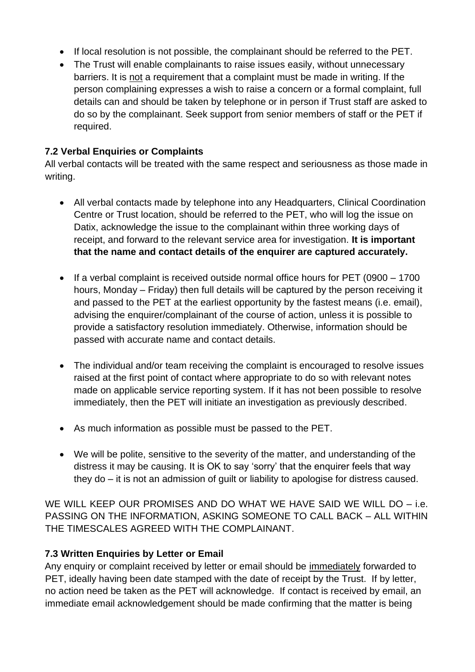- If local resolution is not possible, the complainant should be referred to the PET.
- The Trust will enable complainants to raise issues easily, without unnecessary barriers. It is not a requirement that a complaint must be made in writing. If the person complaining expresses a wish to raise a concern or a formal complaint, full details can and should be taken by telephone or in person if Trust staff are asked to do so by the complainant. Seek support from senior members of staff or the PET if required.

## **7.2 Verbal Enquiries or Complaints**

All verbal contacts will be treated with the same respect and seriousness as those made in writing.

- All verbal contacts made by telephone into any Headquarters, Clinical Coordination Centre or Trust location, should be referred to the PET, who will log the issue on Datix, acknowledge the issue to the complainant within three working days of receipt, and forward to the relevant service area for investigation. **It is important that the name and contact details of the enquirer are captured accurately.**
- If a verbal complaint is received outside normal office hours for PET (0900 1700 hours, Monday – Friday) then full details will be captured by the person receiving it and passed to the PET at the earliest opportunity by the fastest means (i.e. email), advising the enquirer/complainant of the course of action, unless it is possible to provide a satisfactory resolution immediately. Otherwise, information should be passed with accurate name and contact details.
- The individual and/or team receiving the complaint is encouraged to resolve issues raised at the first point of contact where appropriate to do so with relevant notes made on applicable service reporting system. If it has not been possible to resolve immediately, then the PET will initiate an investigation as previously described.
- As much information as possible must be passed to the PET.
- We will be polite, sensitive to the severity of the matter, and understanding of the distress it may be causing. It is OK to say 'sorry' that the enquirer feels that way they do – it is not an admission of guilt or liability to apologise for distress caused.

WE WILL KEEP OUR PROMISES AND DO WHAT WE HAVE SAID WE WILL DO – i.e. PASSING ON THE INFORMATION, ASKING SOMEONE TO CALL BACK – ALL WITHIN THE TIMESCALES AGREED WITH THE COMPLAINANT.

## **7.3 Written Enquiries by Letter or Email**

Any enquiry or complaint received by letter or email should be immediately forwarded to PET, ideally having been date stamped with the date of receipt by the Trust. If by letter, no action need be taken as the PET will acknowledge. If contact is received by email, an immediate email acknowledgement should be made confirming that the matter is being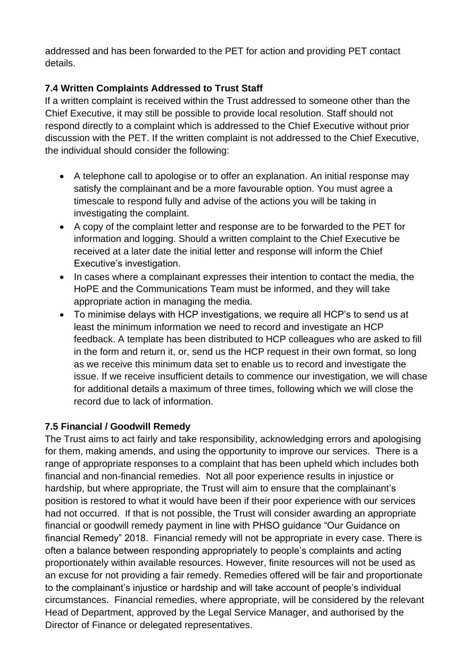addressed and has been forwarded to the PET for action and providing PET contact details.

# **7.4 Written Complaints Addressed to Trust Staff**

If a written complaint is received within the Trust addressed to someone other than the Chief Executive, it may still be possible to provide local resolution. Staff should not respond directly to a complaint which is addressed to the Chief Executive without prior discussion with the PET. If the written complaint is not addressed to the Chief Executive, the individual should consider the following:

- A telephone call to apologise or to offer an explanation. An initial response may satisfy the complainant and be a more favourable option. You must agree a timescale to respond fully and advise of the actions you will be taking in investigating the complaint.
- A copy of the complaint letter and response are to be forwarded to the PET for information and logging. Should a written complaint to the Chief Executive be received at a later date the initial letter and response will inform the Chief Executive's investigation.
- In cases where a complainant expresses their intention to contact the media, the HoPE and the Communications Team must be informed, and they will take appropriate action in managing the media.
- To minimise delays with HCP investigations, we require all HCP's to send us at least the minimum information we need to record and investigate an HCP feedback. A template has been distributed to HCP colleagues who are asked to fill in the form and return it, or, send us the HCP request in their own format, so long as we receive this minimum data set to enable us to record and investigate the issue. If we receive insufficient details to commence our investigation, we will chase for additional details a maximum of three times, following which we will close the record due to lack of information.

## **7.5 Financial / Goodwill Remedy**

The Trust aims to act fairly and take responsibility, acknowledging errors and apologising for them, making amends, and using the opportunity to improve our services. There is a range of appropriate responses to a complaint that has been upheld which includes both financial and non-financial remedies. Not all poor experience results in injustice or hardship, but where appropriate, the Trust will aim to ensure that the complainant's position is restored to what it would have been if their poor experience with our services had not occurred. If that is not possible, the Trust will consider awarding an appropriate financial or goodwill remedy payment in line with PHSO guidance "Our Guidance on financial Remedy" 2018. Financial remedy will not be appropriate in every case. There is often a balance between responding appropriately to people's complaints and acting proportionately within available resources. However, finite resources will not be used as an excuse for not providing a fair remedy. Remedies offered will be fair and proportionate to the complainant's injustice or hardship and will take account of people's individual circumstances. Financial remedies, where appropriate, will be considered by the relevant Head of Department, approved by the Legal Service Manager, and authorised by the Director of Finance or delegated representatives.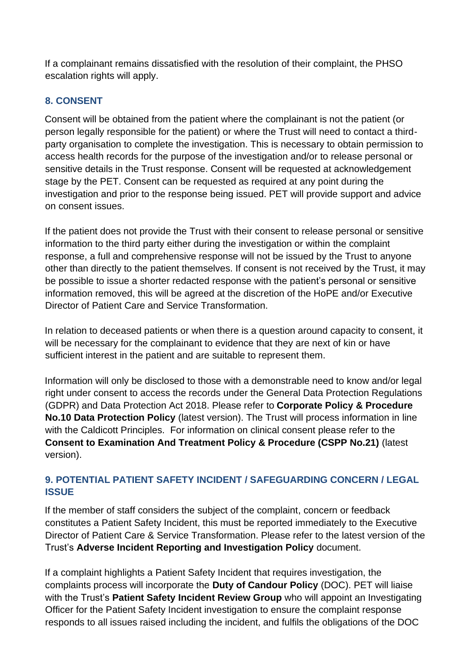If a complainant remains dissatisfied with the resolution of their complaint, the PHSO escalation rights will apply.

## <span id="page-13-0"></span>**8. CONSENT**

Consent will be obtained from the patient where the complainant is not the patient (or person legally responsible for the patient) or where the Trust will need to contact a thirdparty organisation to complete the investigation. This is necessary to obtain permission to access health records for the purpose of the investigation and/or to release personal or sensitive details in the Trust response. Consent will be requested at acknowledgement stage by the PET. Consent can be requested as required at any point during the investigation and prior to the response being issued. PET will provide support and advice on consent issues.

If the patient does not provide the Trust with their consent to release personal or sensitive information to the third party either during the investigation or within the complaint response, a full and comprehensive response will not be issued by the Trust to anyone other than directly to the patient themselves. If consent is not received by the Trust, it may be possible to issue a shorter redacted response with the patient's personal or sensitive information removed, this will be agreed at the discretion of the HoPE and/or Executive Director of Patient Care and Service Transformation.

In relation to deceased patients or when there is a question around capacity to consent, it will be necessary for the complainant to evidence that they are next of kin or have sufficient interest in the patient and are suitable to represent them.

Information will only be disclosed to those with a demonstrable need to know and/or legal right under consent to access the records under the General Data Protection Regulations (GDPR) and Data Protection Act 2018. Please refer to **Corporate Policy & Procedure No.10 Data Protection Policy** (latest version). The Trust will process information in line with the Caldicott Principles. For information on clinical consent please refer to the **Consent to Examination And Treatment Policy & Procedure (CSPP No.21)** (latest version).

#### <span id="page-13-1"></span>**9. POTENTIAL PATIENT SAFETY INCIDENT / SAFEGUARDING CONCERN / LEGAL ISSUE**

If the member of staff considers the subject of the complaint, concern or feedback constitutes a Patient Safety Incident, this must be reported immediately to the Executive Director of Patient Care & Service Transformation. Please refer to the latest version of the Trust's **Adverse Incident Reporting and Investigation Policy** document.

If a complaint highlights a Patient Safety Incident that requires investigation, the complaints process will incorporate the **Duty of Candour Policy** (DOC). PET will liaise with the Trust's **Patient Safety Incident Review Group** who will appoint an Investigating Officer for the Patient Safety Incident investigation to ensure the complaint response responds to all issues raised including the incident, and fulfils the obligations of the DOC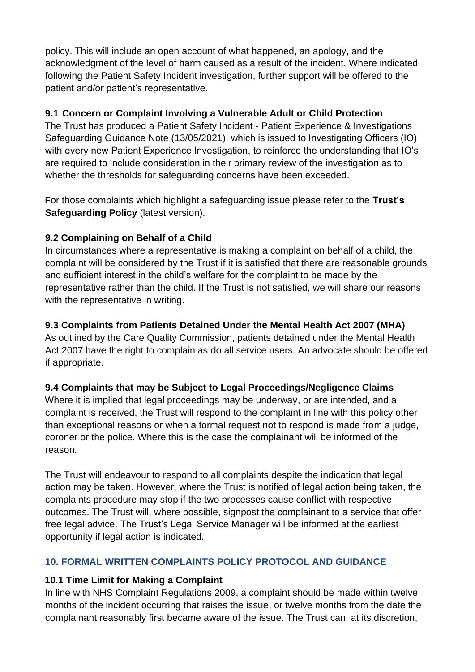policy. This will include an open account of what happened, an apology, and the acknowledgment of the level of harm caused as a result of the incident. Where indicated following the Patient Safety Incident investigation, further support will be offered to the patient and/or patient's representative.

#### **9.1 Concern or Complaint Involving a Vulnerable Adult or Child Protection**

The Trust has produced a Patient Safety Incident - Patient Experience & Investigations Safeguarding Guidance Note (13/05/2021), which is issued to Investigating Officers (IO) with every new Patient Experience Investigation, to reinforce the understanding that IO's are required to include consideration in their primary review of the investigation as to whether the thresholds for safeguarding concerns have been exceeded.

For those complaints which highlight a safeguarding issue please refer to the **Trust's Safeguarding Policy** (latest version).

## **9.2 Complaining on Behalf of a Child**

In circumstances where a representative is making a complaint on behalf of a child, the complaint will be considered by the Trust if it is satisfied that there are reasonable grounds and sufficient interest in the child's welfare for the complaint to be made by the representative rather than the child. If the Trust is not satisfied, we will share our reasons with the representative in writing.

#### **9.3 Complaints from Patients Detained Under the Mental Health Act 2007 (MHA)**

As outlined by the Care Quality Commission, patients detained under the Mental Health Act 2007 have the right to complain as do all service users. An advocate should be offered if appropriate.

## **9.4 Complaints that may be Subject to Legal Proceedings/Negligence Claims**

Where it is implied that legal proceedings may be underway, or are intended, and a complaint is received, the Trust will respond to the complaint in line with this policy other than exceptional reasons or when a formal request not to respond is made from a judge, coroner or the police. Where this is the case the complainant will be informed of the reason.

The Trust will endeavour to respond to all complaints despite the indication that legal action may be taken. However, where the Trust is notified of legal action being taken, the complaints procedure may stop if the two processes cause conflict with respective outcomes. The Trust will, where possible, signpost the complainant to a service that offer free legal advice. The Trust's Legal Service Manager will be informed at the earliest opportunity if legal action is indicated.

## <span id="page-14-0"></span>**10. FORMAL WRITTEN COMPLAINTS POLICY PROTOCOL AND GUIDANCE**

## **10.1 Time Limit for Making a Complaint**

In line with NHS Complaint Regulations 2009, a complaint should be made within twelve months of the incident occurring that raises the issue, or twelve months from the date the complainant reasonably first became aware of the issue. The Trust can, at its discretion,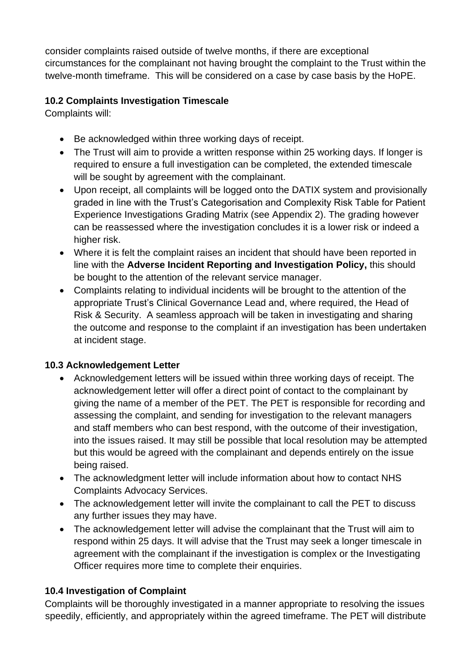consider complaints raised outside of twelve months, if there are exceptional circumstances for the complainant not having brought the complaint to the Trust within the twelve-month timeframe. This will be considered on a case by case basis by the HoPE.

## **10.2 Complaints Investigation Timescale**

Complaints will:

- Be acknowledged within three working days of receipt.
- The Trust will aim to provide a written response within 25 working days. If longer is required to ensure a full investigation can be completed, the extended timescale will be sought by agreement with the complainant.
- Upon receipt, all complaints will be logged onto the DATIX system and provisionally graded in line with the Trust's Categorisation and Complexity Risk Table for Patient Experience Investigations Grading Matrix (see Appendix 2). The grading however can be reassessed where the investigation concludes it is a lower risk or indeed a higher risk.
- Where it is felt the complaint raises an incident that should have been reported in line with the **Adverse Incident Reporting and Investigation Policy,** this should be bought to the attention of the relevant service manager.
- Complaints relating to individual incidents will be brought to the attention of the appropriate Trust's Clinical Governance Lead and, where required, the Head of Risk & Security. A seamless approach will be taken in investigating and sharing the outcome and response to the complaint if an investigation has been undertaken at incident stage.

## **10.3 Acknowledgement Letter**

- Acknowledgement letters will be issued within three working days of receipt. The acknowledgement letter will offer a direct point of contact to the complainant by giving the name of a member of the PET. The PET is responsible for recording and assessing the complaint, and sending for investigation to the relevant managers and staff members who can best respond, with the outcome of their investigation, into the issues raised. It may still be possible that local resolution may be attempted but this would be agreed with the complainant and depends entirely on the issue being raised.
- The acknowledgment letter will include information about how to contact NHS Complaints Advocacy Services.
- The acknowledgement letter will invite the complainant to call the PET to discuss any further issues they may have.
- The acknowledgement letter will advise the complainant that the Trust will aim to respond within 25 days. It will advise that the Trust may seek a longer timescale in agreement with the complainant if the investigation is complex or the Investigating Officer requires more time to complete their enquiries.

# **10.4 Investigation of Complaint**

Complaints will be thoroughly investigated in a manner appropriate to resolving the issues speedily, efficiently, and appropriately within the agreed timeframe. The PET will distribute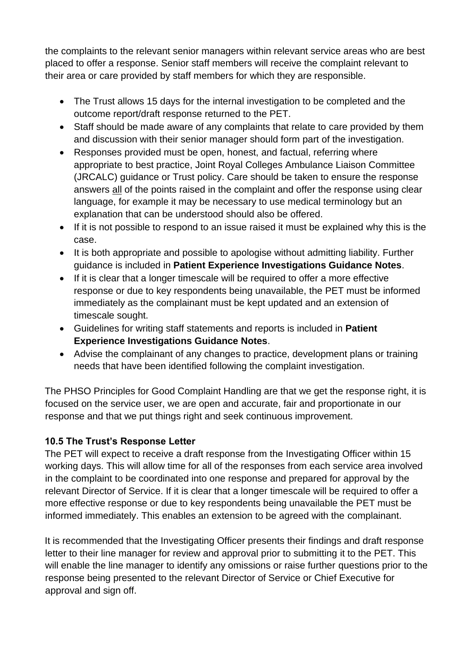the complaints to the relevant senior managers within relevant service areas who are best placed to offer a response. Senior staff members will receive the complaint relevant to their area or care provided by staff members for which they are responsible.

- The Trust allows 15 days for the internal investigation to be completed and the outcome report/draft response returned to the PET.
- Staff should be made aware of any complaints that relate to care provided by them and discussion with their senior manager should form part of the investigation.
- Responses provided must be open, honest, and factual, referring where appropriate to best practice, Joint Royal Colleges Ambulance Liaison Committee (JRCALC) guidance or Trust policy. Care should be taken to ensure the response answers all of the points raised in the complaint and offer the response using clear language, for example it may be necessary to use medical terminology but an explanation that can be understood should also be offered.
- If it is not possible to respond to an issue raised it must be explained why this is the case.
- It is both appropriate and possible to apologise without admitting liability. Further guidance is included in **Patient Experience Investigations Guidance Notes**.
- If it is clear that a longer timescale will be required to offer a more effective response or due to key respondents being unavailable, the PET must be informed immediately as the complainant must be kept updated and an extension of timescale sought.
- Guidelines for writing staff statements and reports is included in **Patient Experience Investigations Guidance Notes**.
- Advise the complainant of any changes to practice, development plans or training needs that have been identified following the complaint investigation.

The PHSO Principles for Good Complaint Handling are that we get the response right, it is focused on the service user, we are open and accurate, fair and proportionate in our response and that we put things right and seek continuous improvement.

## **10.5 The Trust's Response Letter**

The PET will expect to receive a draft response from the Investigating Officer within 15 working days. This will allow time for all of the responses from each service area involved in the complaint to be coordinated into one response and prepared for approval by the relevant Director of Service. If it is clear that a longer timescale will be required to offer a more effective response or due to key respondents being unavailable the PET must be informed immediately. This enables an extension to be agreed with the complainant.

It is recommended that the Investigating Officer presents their findings and draft response letter to their line manager for review and approval prior to submitting it to the PET. This will enable the line manager to identify any omissions or raise further questions prior to the response being presented to the relevant Director of Service or Chief Executive for approval and sign off.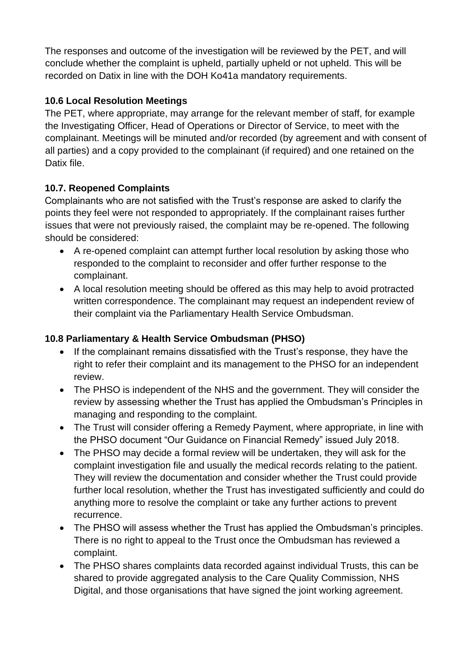The responses and outcome of the investigation will be reviewed by the PET, and will conclude whether the complaint is upheld, partially upheld or not upheld. This will be recorded on Datix in line with the DOH Ko41a mandatory requirements.

## **10.6 Local Resolution Meetings**

The PET, where appropriate, may arrange for the relevant member of staff, for example the Investigating Officer, Head of Operations or Director of Service, to meet with the complainant. Meetings will be minuted and/or recorded (by agreement and with consent of all parties) and a copy provided to the complainant (if required) and one retained on the Datix file.

# **10.7. Reopened Complaints**

Complainants who are not satisfied with the Trust's response are asked to clarify the points they feel were not responded to appropriately. If the complainant raises further issues that were not previously raised, the complaint may be re-opened. The following should be considered:

- A re-opened complaint can attempt further local resolution by asking those who responded to the complaint to reconsider and offer further response to the complainant.
- A local resolution meeting should be offered as this may help to avoid protracted written correspondence. The complainant may request an independent review of their complaint via the Parliamentary Health Service Ombudsman.

## **10.8 Parliamentary & Health Service Ombudsman (PHSO)**

- If the complainant remains dissatisfied with the Trust's response, they have the right to refer their complaint and its management to the PHSO for an independent review.
- The PHSO is independent of the NHS and the government. They will consider the review by assessing whether the Trust has applied the Ombudsman's Principles in managing and responding to the complaint.
- The Trust will consider offering a Remedy Payment, where appropriate, in line with the PHSO document "Our Guidance on Financial Remedy" issued July 2018.
- The PHSO may decide a formal review will be undertaken, they will ask for the complaint investigation file and usually the medical records relating to the patient. They will review the documentation and consider whether the Trust could provide further local resolution, whether the Trust has investigated sufficiently and could do anything more to resolve the complaint or take any further actions to prevent recurrence.
- The PHSO will assess whether the Trust has applied the Ombudsman's principles. There is no right to appeal to the Trust once the Ombudsman has reviewed a complaint.
- The PHSO shares complaints data recorded against individual Trusts, this can be shared to provide aggregated analysis to the Care Quality Commission, NHS Digital, and those organisations that have signed the joint working agreement.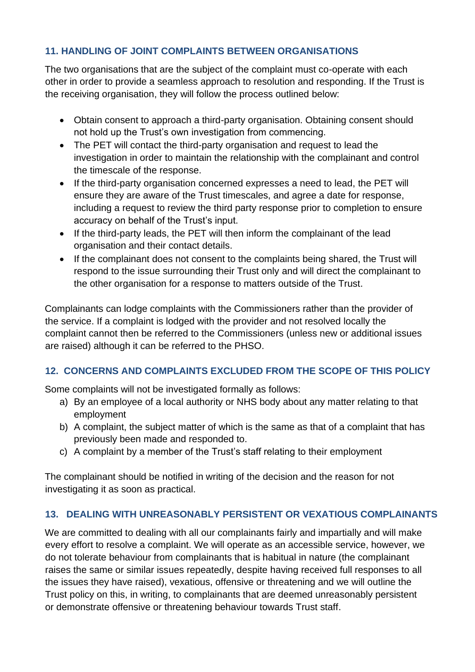#### <span id="page-18-0"></span>**11. HANDLING OF JOINT COMPLAINTS BETWEEN ORGANISATIONS**

The two organisations that are the subject of the complaint must co-operate with each other in order to provide a seamless approach to resolution and responding. If the Trust is the receiving organisation, they will follow the process outlined below:

- Obtain consent to approach a third-party organisation. Obtaining consent should not hold up the Trust's own investigation from commencing.
- The PET will contact the third-party organisation and request to lead the investigation in order to maintain the relationship with the complainant and control the timescale of the response.
- If the third-party organisation concerned expresses a need to lead, the PET will ensure they are aware of the Trust timescales, and agree a date for response, including a request to review the third party response prior to completion to ensure accuracy on behalf of the Trust's input.
- If the third-party leads, the PET will then inform the complainant of the lead organisation and their contact details.
- If the complainant does not consent to the complaints being shared, the Trust will respond to the issue surrounding their Trust only and will direct the complainant to the other organisation for a response to matters outside of the Trust.

Complainants can lodge complaints with the Commissioners rather than the provider of the service. If a complaint is lodged with the provider and not resolved locally the complaint cannot then be referred to the Commissioners (unless new or additional issues are raised) although it can be referred to the PHSO.

## <span id="page-18-1"></span>**12. CONCERNS AND COMPLAINTS EXCLUDED FROM THE SCOPE OF THIS POLICY**

Some complaints will not be investigated formally as follows:

- a) By an employee of a local authority or NHS body about any matter relating to that employment
- b) A complaint, the subject matter of which is the same as that of a complaint that has previously been made and responded to.
- c) A complaint by a member of the Trust's staff relating to their employment

The complainant should be notified in writing of the decision and the reason for not investigating it as soon as practical.

## <span id="page-18-2"></span>**13. DEALING WITH UNREASONABLY PERSISTENT OR VEXATIOUS COMPLAINANTS**

We are committed to dealing with all our complainants fairly and impartially and will make every effort to resolve a complaint. We will operate as an accessible service, however, we do not tolerate behaviour from complainants that is habitual in nature (the complainant raises the same or similar issues repeatedly, despite having received full responses to all the issues they have raised), vexatious, offensive or threatening and we will outline the Trust policy on this, in writing, to complainants that are deemed unreasonably persistent or demonstrate offensive or threatening behaviour towards Trust staff.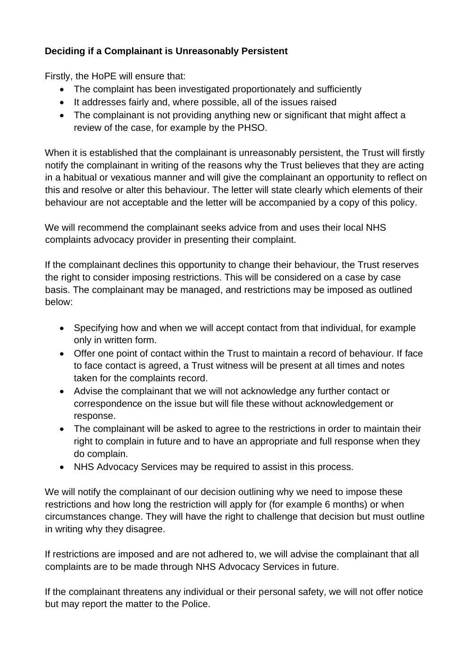## **Deciding if a Complainant is Unreasonably Persistent**

Firstly, the HoPE will ensure that:

- The complaint has been investigated proportionately and sufficiently
- It addresses fairly and, where possible, all of the issues raised
- The complainant is not providing anything new or significant that might affect a review of the case, for example by the PHSO.

When it is established that the complainant is unreasonably persistent, the Trust will firstly notify the complainant in writing of the reasons why the Trust believes that they are acting in a habitual or vexatious manner and will give the complainant an opportunity to reflect on this and resolve or alter this behaviour. The letter will state clearly which elements of their behaviour are not acceptable and the letter will be accompanied by a copy of this policy.

We will recommend the complainant seeks advice from and uses their local NHS complaints advocacy provider in presenting their complaint.

If the complainant declines this opportunity to change their behaviour, the Trust reserves the right to consider imposing restrictions. This will be considered on a case by case basis. The complainant may be managed, and restrictions may be imposed as outlined below:

- Specifying how and when we will accept contact from that individual, for example only in written form.
- Offer one point of contact within the Trust to maintain a record of behaviour. If face to face contact is agreed, a Trust witness will be present at all times and notes taken for the complaints record.
- Advise the complainant that we will not acknowledge any further contact or correspondence on the issue but will file these without acknowledgement or response.
- The complainant will be asked to agree to the restrictions in order to maintain their right to complain in future and to have an appropriate and full response when they do complain.
- NHS Advocacy Services may be required to assist in this process.

We will notify the complainant of our decision outlining why we need to impose these restrictions and how long the restriction will apply for (for example 6 months) or when circumstances change. They will have the right to challenge that decision but must outline in writing why they disagree.

If restrictions are imposed and are not adhered to, we will advise the complainant that all complaints are to be made through NHS Advocacy Services in future.

If the complainant threatens any individual or their personal safety, we will not offer notice but may report the matter to the Police.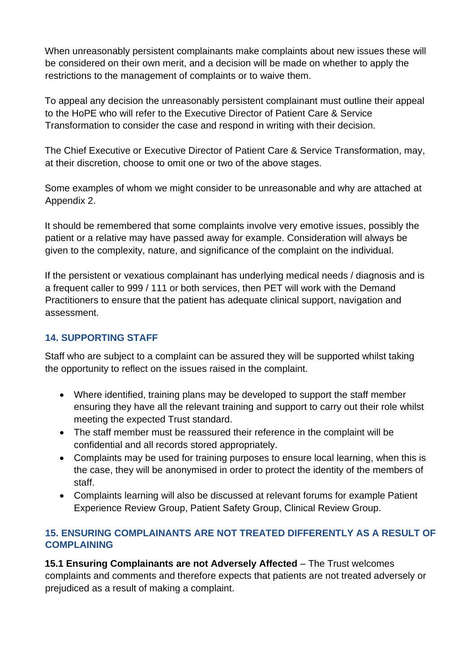When unreasonably persistent complainants make complaints about new issues these will be considered on their own merit, and a decision will be made on whether to apply the restrictions to the management of complaints or to waive them.

To appeal any decision the unreasonably persistent complainant must outline their appeal to the HoPE who will refer to the Executive Director of Patient Care & Service Transformation to consider the case and respond in writing with their decision.

The Chief Executive or Executive Director of Patient Care & Service Transformation, may, at their discretion, choose to omit one or two of the above stages.

Some examples of whom we might consider to be unreasonable and why are attached at Appendix 2.

It should be remembered that some complaints involve very emotive issues, possibly the patient or a relative may have passed away for example. Consideration will always be given to the complexity, nature, and significance of the complaint on the individual.

If the persistent or vexatious complainant has underlying medical needs / diagnosis and is a frequent caller to 999 / 111 or both services, then PET will work with the Demand Practitioners to ensure that the patient has adequate clinical support, navigation and assessment.

## <span id="page-20-0"></span>**14. SUPPORTING STAFF**

Staff who are subject to a complaint can be assured they will be supported whilst taking the opportunity to reflect on the issues raised in the complaint.

- Where identified, training plans may be developed to support the staff member ensuring they have all the relevant training and support to carry out their role whilst meeting the expected Trust standard.
- The staff member must be reassured their reference in the complaint will be confidential and all records stored appropriately.
- Complaints may be used for training purposes to ensure local learning, when this is the case, they will be anonymised in order to protect the identity of the members of staff.
- Complaints learning will also be discussed at relevant forums for example Patient Experience Review Group, Patient Safety Group, Clinical Review Group.

#### <span id="page-20-1"></span>**15. ENSURING COMPLAINANTS ARE NOT TREATED DIFFERENTLY AS A RESULT OF COMPLAINING**

**15.1 Ensuring Complainants are not Adversely Affected** – The Trust welcomes complaints and comments and therefore expects that patients are not treated adversely or prejudiced as a result of making a complaint.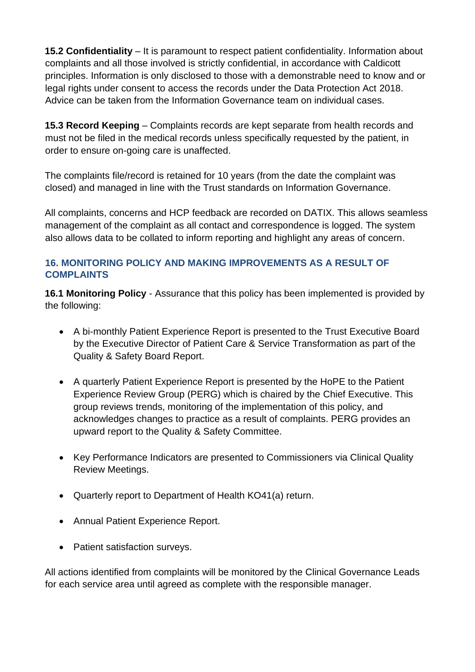**15.2 Confidentiality** – It is paramount to respect patient confidentiality. Information about complaints and all those involved is strictly confidential, in accordance with Caldicott principles. Information is only disclosed to those with a demonstrable need to know and or legal rights under consent to access the records under the Data Protection Act 2018. Advice can be taken from the Information Governance team on individual cases.

**15.3 Record Keeping** – Complaints records are kept separate from health records and must not be filed in the medical records unless specifically requested by the patient, in order to ensure on-going care is unaffected.

The complaints file/record is retained for 10 years (from the date the complaint was closed) and managed in line with the Trust standards on Information Governance.

All complaints, concerns and HCP feedback are recorded on DATIX. This allows seamless management of the complaint as all contact and correspondence is logged. The system also allows data to be collated to inform reporting and highlight any areas of concern.

#### <span id="page-21-0"></span>**16. MONITORING POLICY AND MAKING IMPROVEMENTS AS A RESULT OF COMPLAINTS**

**16.1 Monitoring Policy** - Assurance that this policy has been implemented is provided by the following:

- A bi-monthly Patient Experience Report is presented to the Trust Executive Board by the Executive Director of Patient Care & Service Transformation as part of the Quality & Safety Board Report.
- A quarterly Patient Experience Report is presented by the HoPE to the Patient Experience Review Group (PERG) which is chaired by the Chief Executive. This group reviews trends, monitoring of the implementation of this policy, and acknowledges changes to practice as a result of complaints. PERG provides an upward report to the Quality & Safety Committee.
- Key Performance Indicators are presented to Commissioners via Clinical Quality Review Meetings.
- Quarterly report to Department of Health KO41(a) return.
- Annual Patient Experience Report.
- Patient satisfaction surveys.

All actions identified from complaints will be monitored by the Clinical Governance Leads for each service area until agreed as complete with the responsible manager.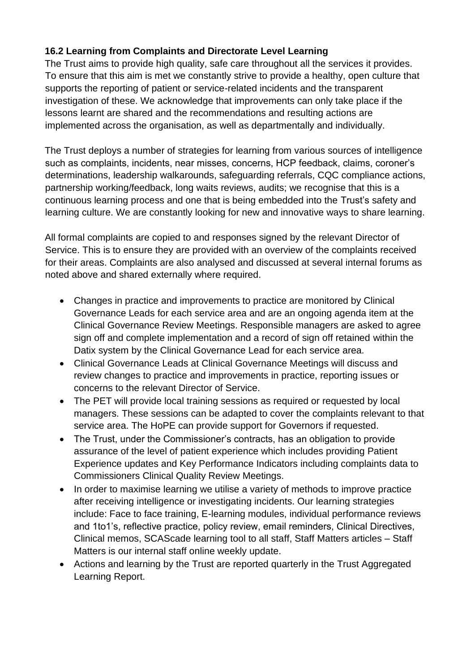## **16.2 Learning from Complaints and Directorate Level Learning**

The Trust aims to provide high quality, safe care throughout all the services it provides. To ensure that this aim is met we constantly strive to provide a healthy, open culture that supports the reporting of patient or service-related incidents and the transparent investigation of these. We acknowledge that improvements can only take place if the lessons learnt are shared and the recommendations and resulting actions are implemented across the organisation, as well as departmentally and individually.

The Trust deploys a number of strategies for learning from various sources of intelligence such as complaints, incidents, near misses, concerns, HCP feedback, claims, coroner's determinations, leadership walkarounds, safeguarding referrals, CQC compliance actions, partnership working/feedback, long waits reviews, audits; we recognise that this is a continuous learning process and one that is being embedded into the Trust's safety and learning culture. We are constantly looking for new and innovative ways to share learning.

All formal complaints are copied to and responses signed by the relevant Director of Service. This is to ensure they are provided with an overview of the complaints received for their areas. Complaints are also analysed and discussed at several internal forums as noted above and shared externally where required.

- Changes in practice and improvements to practice are monitored by Clinical Governance Leads for each service area and are an ongoing agenda item at the Clinical Governance Review Meetings. Responsible managers are asked to agree sign off and complete implementation and a record of sign off retained within the Datix system by the Clinical Governance Lead for each service area.
- Clinical Governance Leads at Clinical Governance Meetings will discuss and review changes to practice and improvements in practice, reporting issues or concerns to the relevant Director of Service.
- The PET will provide local training sessions as required or requested by local managers. These sessions can be adapted to cover the complaints relevant to that service area. The HoPE can provide support for Governors if requested.
- The Trust, under the Commissioner's contracts, has an obligation to provide assurance of the level of patient experience which includes providing Patient Experience updates and Key Performance Indicators including complaints data to Commissioners Clinical Quality Review Meetings.
- In order to maximise learning we utilise a variety of methods to improve practice after receiving intelligence or investigating incidents. Our learning strategies include: Face to face training, E-learning modules, individual performance reviews and 1to1's, reflective practice, policy review, email reminders, Clinical Directives, Clinical memos, SCAScade learning tool to all staff, Staff Matters articles – Staff Matters is our internal staff online weekly update.
- Actions and learning by the Trust are reported quarterly in the Trust Aggregated Learning Report.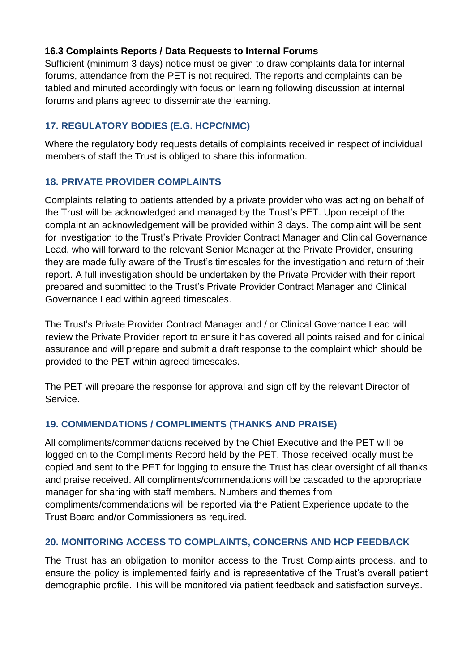#### **16.3 Complaints Reports / Data Requests to Internal Forums**

Sufficient (minimum 3 days) notice must be given to draw complaints data for internal forums, attendance from the PET is not required. The reports and complaints can be tabled and minuted accordingly with focus on learning following discussion at internal forums and plans agreed to disseminate the learning.

#### <span id="page-23-0"></span>**17. REGULATORY BODIES (E.G. HCPC/NMC)**

Where the regulatory body requests details of complaints received in respect of individual members of staff the Trust is obliged to share this information.

#### <span id="page-23-1"></span>**18. PRIVATE PROVIDER COMPLAINTS**

Complaints relating to patients attended by a private provider who was acting on behalf of the Trust will be acknowledged and managed by the Trust's PET. Upon receipt of the complaint an acknowledgement will be provided within 3 days. The complaint will be sent for investigation to the Trust's Private Provider Contract Manager and Clinical Governance Lead, who will forward to the relevant Senior Manager at the Private Provider, ensuring they are made fully aware of the Trust's timescales for the investigation and return of their report. A full investigation should be undertaken by the Private Provider with their report prepared and submitted to the Trust's Private Provider Contract Manager and Clinical Governance Lead within agreed timescales.

The Trust's Private Provider Contract Manager and / or Clinical Governance Lead will review the Private Provider report to ensure it has covered all points raised and for clinical assurance and will prepare and submit a draft response to the complaint which should be provided to the PET within agreed timescales.

The PET will prepare the response for approval and sign off by the relevant Director of Service.

## <span id="page-23-2"></span>**19. COMMENDATIONS / COMPLIMENTS (THANKS AND PRAISE)**

All compliments/commendations received by the Chief Executive and the PET will be logged on to the Compliments Record held by the PET. Those received locally must be copied and sent to the PET for logging to ensure the Trust has clear oversight of all thanks and praise received. All compliments/commendations will be cascaded to the appropriate manager for sharing with staff members. Numbers and themes from compliments/commendations will be reported via the Patient Experience update to the Trust Board and/or Commissioners as required.

#### <span id="page-23-3"></span>**20. MONITORING ACCESS TO COMPLAINTS, CONCERNS AND HCP FEEDBACK**

The Trust has an obligation to monitor access to the Trust Complaints process, and to ensure the policy is implemented fairly and is representative of the Trust's overall patient demographic profile. This will be monitored via patient feedback and satisfaction surveys.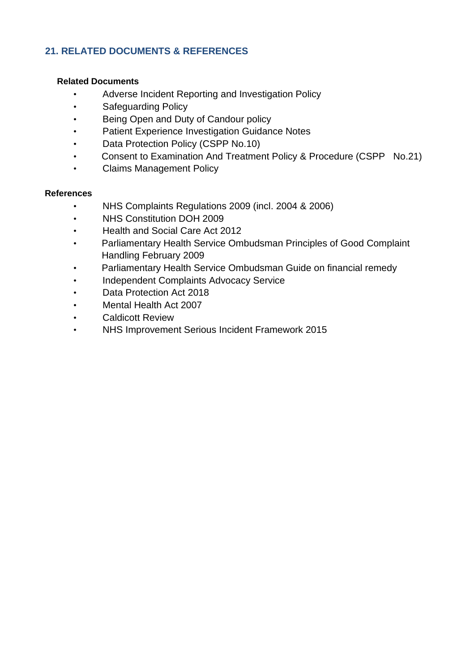#### <span id="page-24-0"></span>**21. RELATED DOCUMENTS & REFERENCES**

#### <span id="page-24-1"></span> **Related Documents**

- Adverse Incident Reporting and Investigation Policy
- Safeguarding Policy
- Being Open and Duty of Candour policy
- Patient Experience Investigation Guidance Notes
- Data Protection Policy (CSPP No.10)
- Consent to Examination And Treatment Policy & Procedure (CSPP No.21)
- Claims Management Policy

#### <span id="page-24-2"></span>**References**

- NHS Complaints Regulations 2009 (incl. 2004 & 2006)
- NHS Constitution DOH 2009
- Health and Social Care Act 2012
- Parliamentary Health Service Ombudsman Principles of Good Complaint Handling February 2009
- Parliamentary Health Service Ombudsman Guide on financial remedy
- Independent Complaints Advocacy Service
- Data Protection Act 2018
- Mental Health Act 2007
- **Caldicott Review**
- NHS Improvement Serious Incident Framework 2015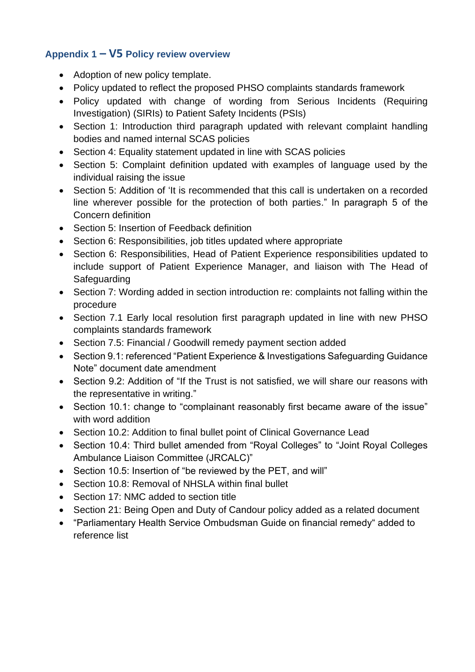## <span id="page-25-0"></span>**Appendix 1 – V5 Policy review overview**

- Adoption of new policy template.
- Policy updated to reflect the proposed PHSO complaints standards framework
- Policy updated with change of wording from Serious Incidents (Requiring Investigation) (SIRIs) to Patient Safety Incidents (PSIs)
- Section 1: Introduction third paragraph updated with relevant complaint handling bodies and named internal SCAS policies
- Section 4: Equality statement updated in line with SCAS policies
- Section 5: Complaint definition updated with examples of language used by the individual raising the issue
- Section 5: Addition of 'It is recommended that this call is undertaken on a recorded line wherever possible for the protection of both parties." In paragraph 5 of the Concern definition
- Section 5: Insertion of Feedback definition
- Section 6: Responsibilities, job titles updated where appropriate
- Section 6: Responsibilities, Head of Patient Experience responsibilities updated to include support of Patient Experience Manager, and liaison with The Head of **Safeguarding**
- Section 7: Wording added in section introduction re: complaints not falling within the procedure
- Section 7.1 Early local resolution first paragraph updated in line with new PHSO complaints standards framework
- Section 7.5: Financial / Goodwill remedy payment section added
- Section 9.1: referenced "Patient Experience & Investigations Safeguarding Guidance Note" document date amendment
- Section 9.2: Addition of "If the Trust is not satisfied, we will share our reasons with the representative in writing."
- Section 10.1: change to "complainant reasonably first became aware of the issue" with word addition
- Section 10.2: Addition to final bullet point of Clinical Governance Lead
- Section 10.4: Third bullet amended from "Royal Colleges" to "Joint Royal Colleges Ambulance Liaison Committee (JRCALC)"
- Section 10.5: Insertion of "be reviewed by the PET, and will"
- Section 10.8: Removal of NHSLA within final bullet
- Section 17: NMC added to section title
- Section 21: Being Open and Duty of Candour policy added as a related document
- "Parliamentary Health Service Ombudsman Guide on financial remedy" added to reference list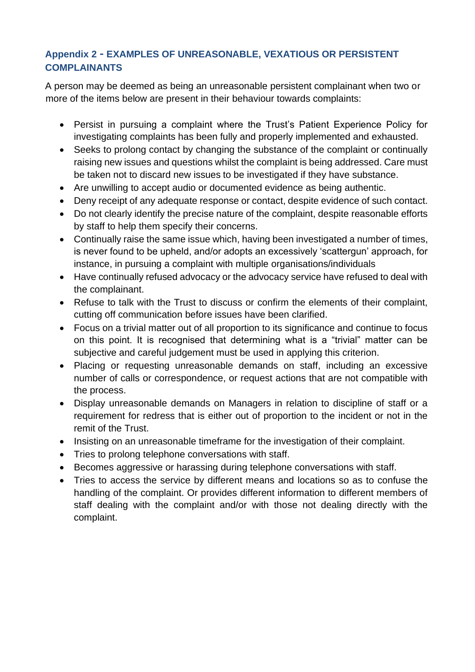# <span id="page-26-0"></span>**Appendix 2 - EXAMPLES OF UNREASONABLE, VEXATIOUS OR PERSISTENT COMPLAINANTS**

A person may be deemed as being an unreasonable persistent complainant when two or more of the items below are present in their behaviour towards complaints:

- Persist in pursuing a complaint where the Trust's Patient Experience Policy for investigating complaints has been fully and properly implemented and exhausted.
- Seeks to prolong contact by changing the substance of the complaint or continually raising new issues and questions whilst the complaint is being addressed. Care must be taken not to discard new issues to be investigated if they have substance.
- Are unwilling to accept audio or documented evidence as being authentic.
- Deny receipt of any adequate response or contact, despite evidence of such contact.
- Do not clearly identify the precise nature of the complaint, despite reasonable efforts by staff to help them specify their concerns.
- Continually raise the same issue which, having been investigated a number of times, is never found to be upheld, and/or adopts an excessively 'scattergun' approach, for instance, in pursuing a complaint with multiple organisations/individuals
- Have continually refused advocacy or the advocacy service have refused to deal with the complainant.
- Refuse to talk with the Trust to discuss or confirm the elements of their complaint, cutting off communication before issues have been clarified.
- Focus on a trivial matter out of all proportion to its significance and continue to focus on this point. It is recognised that determining what is a "trivial" matter can be subjective and careful judgement must be used in applying this criterion.
- Placing or requesting unreasonable demands on staff, including an excessive number of calls or correspondence, or request actions that are not compatible with the process.
- Display unreasonable demands on Managers in relation to discipline of staff or a requirement for redress that is either out of proportion to the incident or not in the remit of the Trust.
- Insisting on an unreasonable timeframe for the investigation of their complaint.
- Tries to prolong telephone conversations with staff.
- Becomes aggressive or harassing during telephone conversations with staff.
- Tries to access the service by different means and locations so as to confuse the handling of the complaint. Or provides different information to different members of staff dealing with the complaint and/or with those not dealing directly with the complaint.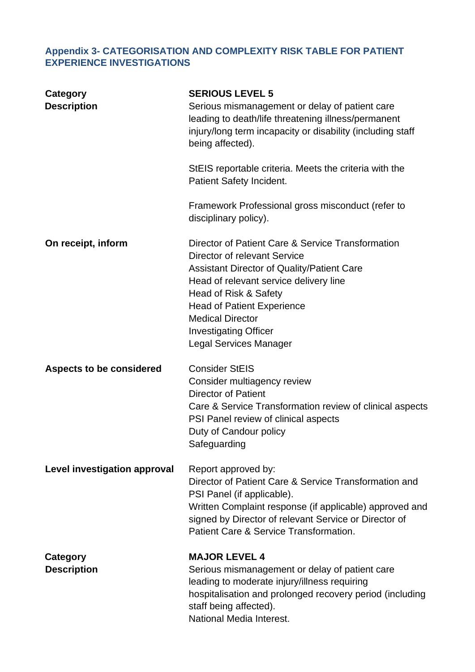# <span id="page-27-0"></span>**Appendix 3- CATEGORISATION AND COMPLEXITY RISK TABLE FOR PATIENT EXPERIENCE INVESTIGATIONS**

| Category<br><b>Description</b>        | <b>SERIOUS LEVEL 5</b><br>Serious mismanagement or delay of patient care<br>leading to death/life threatening illness/permanent<br>injury/long term incapacity or disability (including staff<br>being affected).<br>StEIS reportable criteria. Meets the criteria with the<br>Patient Safety Incident.                             |
|---------------------------------------|-------------------------------------------------------------------------------------------------------------------------------------------------------------------------------------------------------------------------------------------------------------------------------------------------------------------------------------|
|                                       | Framework Professional gross misconduct (refer to<br>disciplinary policy).                                                                                                                                                                                                                                                          |
| On receipt, inform                    | Director of Patient Care & Service Transformation<br>Director of relevant Service<br>Assistant Director of Quality/Patient Care<br>Head of relevant service delivery line<br>Head of Risk & Safety<br><b>Head of Patient Experience</b><br><b>Medical Director</b><br><b>Investigating Officer</b><br><b>Legal Services Manager</b> |
| <b>Aspects to be considered</b>       | <b>Consider StEIS</b><br>Consider multiagency review<br><b>Director of Patient</b><br>Care & Service Transformation review of clinical aspects<br>PSI Panel review of clinical aspects<br>Duty of Candour policy<br>Safeguarding                                                                                                    |
| Level investigation approval          | Report approved by:<br>Director of Patient Care & Service Transformation and<br>PSI Panel (if applicable).<br>Written Complaint response (if applicable) approved and<br>signed by Director of relevant Service or Director of<br>Patient Care & Service Transformation.                                                            |
| <b>Category</b><br><b>Description</b> | <b>MAJOR LEVEL 4</b><br>Serious mismanagement or delay of patient care<br>leading to moderate injury/illness requiring<br>hospitalisation and prolonged recovery period (including<br>staff being affected).<br>National Media Interest.                                                                                            |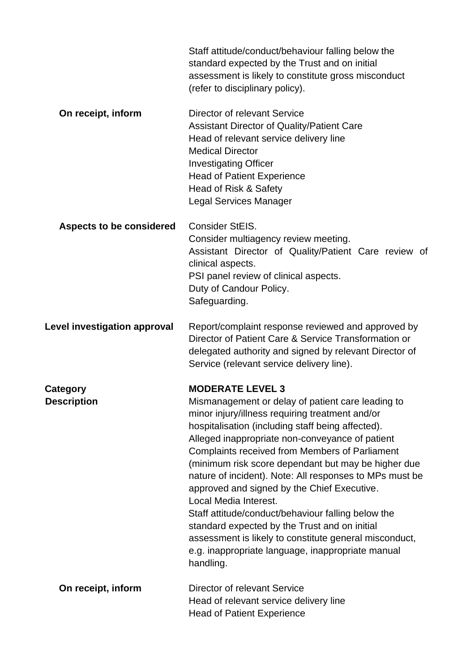|                                       | Staff attitude/conduct/behaviour falling below the<br>standard expected by the Trust and on initial<br>assessment is likely to constitute gross misconduct<br>(refer to disciplinary policy).                                                                                                                                                                                                                                                                                                                                                                                                                                                                                                                          |
|---------------------------------------|------------------------------------------------------------------------------------------------------------------------------------------------------------------------------------------------------------------------------------------------------------------------------------------------------------------------------------------------------------------------------------------------------------------------------------------------------------------------------------------------------------------------------------------------------------------------------------------------------------------------------------------------------------------------------------------------------------------------|
| On receipt, inform                    | Director of relevant Service<br><b>Assistant Director of Quality/Patient Care</b><br>Head of relevant service delivery line<br><b>Medical Director</b><br><b>Investigating Officer</b><br><b>Head of Patient Experience</b><br>Head of Risk & Safety<br><b>Legal Services Manager</b>                                                                                                                                                                                                                                                                                                                                                                                                                                  |
| <b>Aspects to be considered</b>       | Consider StEIS.<br>Consider multiagency review meeting.<br>Assistant Director of Quality/Patient Care review of<br>clinical aspects.<br>PSI panel review of clinical aspects.<br>Duty of Candour Policy.<br>Safeguarding.                                                                                                                                                                                                                                                                                                                                                                                                                                                                                              |
| <b>Level investigation approval</b>   | Report/complaint response reviewed and approved by<br>Director of Patient Care & Service Transformation or<br>delegated authority and signed by relevant Director of<br>Service (relevant service delivery line).                                                                                                                                                                                                                                                                                                                                                                                                                                                                                                      |
| <b>Category</b><br><b>Description</b> | <b>MODERATE LEVEL 3</b><br>Mismanagement or delay of patient care leading to<br>minor injury/illness requiring treatment and/or<br>hospitalisation (including staff being affected).<br>Alleged inappropriate non-conveyance of patient<br>Complaints received from Members of Parliament<br>(minimum risk score dependant but may be higher due<br>nature of incident). Note: All responses to MPs must be<br>approved and signed by the Chief Executive.<br>Local Media Interest.<br>Staff attitude/conduct/behaviour falling below the<br>standard expected by the Trust and on initial<br>assessment is likely to constitute general misconduct,<br>e.g. inappropriate language, inappropriate manual<br>handling. |
| On receipt, inform                    | Director of relevant Service<br>Head of relevant service delivery line<br><b>Head of Patient Experience</b>                                                                                                                                                                                                                                                                                                                                                                                                                                                                                                                                                                                                            |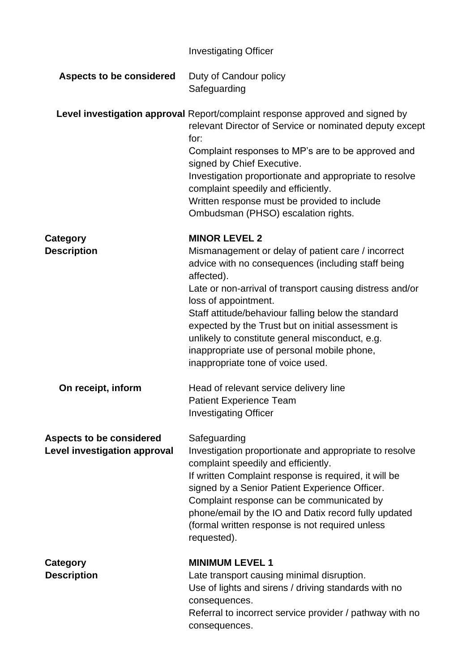|                                                                        | <b>Investigating Officer</b>                                                                                                                                                                                                                                                                                                                                                                                                                                                           |
|------------------------------------------------------------------------|----------------------------------------------------------------------------------------------------------------------------------------------------------------------------------------------------------------------------------------------------------------------------------------------------------------------------------------------------------------------------------------------------------------------------------------------------------------------------------------|
| <b>Aspects to be considered</b>                                        | Duty of Candour policy<br>Safeguarding                                                                                                                                                                                                                                                                                                                                                                                                                                                 |
|                                                                        | Level investigation approval Report/complaint response approved and signed by<br>relevant Director of Service or nominated deputy except<br>for:<br>Complaint responses to MP's are to be approved and<br>signed by Chief Executive.<br>Investigation proportionate and appropriate to resolve<br>complaint speedily and efficiently.<br>Written response must be provided to include<br>Ombudsman (PHSO) escalation rights.                                                           |
| Category<br><b>Description</b>                                         | <b>MINOR LEVEL 2</b><br>Mismanagement or delay of patient care / incorrect<br>advice with no consequences (including staff being<br>affected).<br>Late or non-arrival of transport causing distress and/or<br>loss of appointment.<br>Staff attitude/behaviour falling below the standard<br>expected by the Trust but on initial assessment is<br>unlikely to constitute general misconduct, e.g.<br>inappropriate use of personal mobile phone,<br>inappropriate tone of voice used. |
| On receipt, inform                                                     | Head of relevant service delivery line<br><b>Patient Experience Team</b><br><b>Investigating Officer</b>                                                                                                                                                                                                                                                                                                                                                                               |
| <b>Aspects to be considered</b><br><b>Level investigation approval</b> | Safeguarding<br>Investigation proportionate and appropriate to resolve<br>complaint speedily and efficiently.<br>If written Complaint response is required, it will be<br>signed by a Senior Patient Experience Officer.<br>Complaint response can be communicated by<br>phone/email by the IO and Datix record fully updated<br>(formal written response is not required unless<br>requested).                                                                                        |
| <b>Category</b><br><b>Description</b>                                  | <b>MINIMUM LEVEL 1</b><br>Late transport causing minimal disruption.<br>Use of lights and sirens / driving standards with no<br>consequences.<br>Referral to incorrect service provider / pathway with no<br>consequences.                                                                                                                                                                                                                                                             |